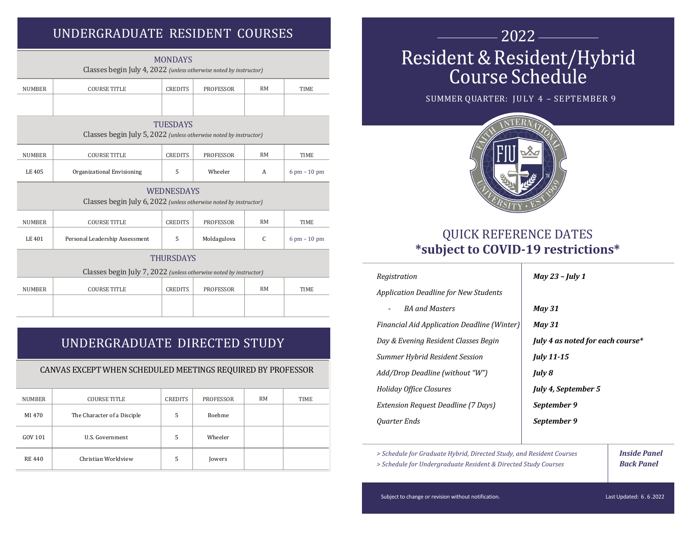# UNDERGRADUATE RESIDENT COURSES THE RESIDENT OUR RESIDENT OURSES

| <b>MONDAYS</b><br>Classes begin July 4, 2022 (unless otherwise noted by instructor)    |                                |                |                  |           |                                |  |
|----------------------------------------------------------------------------------------|--------------------------------|----------------|------------------|-----------|--------------------------------|--|
| <b>NUMBER</b>                                                                          | <b>COURSE TITLE</b>            | <b>CREDITS</b> | <b>PROFESSOR</b> | <b>RM</b> | <b>TIME</b>                    |  |
|                                                                                        |                                |                |                  |           |                                |  |
| <b>TUESDAYS</b><br>Classes begin July 5, 2022 (unless otherwise noted by instructor)   |                                |                |                  |           |                                |  |
| <b>NUMBER</b>                                                                          | <b>COURSE TITLE</b>            | <b>CREDITS</b> | <b>PROFESSOR</b> | <b>RM</b> | <b>TIME</b>                    |  |
| LE 405                                                                                 | Organizational Envisioning     | 5              | Wheeler          | A         | $6 \text{ pm} - 10 \text{ pm}$ |  |
| <b>WEDNESDAYS</b><br>Classes begin July 6, 2022 (unless otherwise noted by instructor) |                                |                |                  |           |                                |  |
| <b>NUMBER</b>                                                                          | <b>COURSE TITLE</b>            | <b>CREDITS</b> | <b>PROFESSOR</b> | <b>RM</b> | <b>TIME</b>                    |  |
| LE 401                                                                                 | Personal Leadership Assessment | 5              | Moldagulova      | C         | $6 \text{ pm} - 10 \text{ pm}$ |  |
| <b>THURSDAYS</b>                                                                       |                                |                |                  |           |                                |  |
| Classes begin July 7, 2022 (unless otherwise noted by instructor)                      |                                |                |                  |           |                                |  |
| <b>NUMBER</b>                                                                          | <b>COURSE TITLE</b>            | <b>CREDITS</b> | <b>PROFESSOR</b> | <b>RM</b> | <b>TIME</b>                    |  |
|                                                                                        |                                |                |                  |           |                                |  |

## UNDERGRADUATE DIRECTED STUDY

### CANVAS EXCEPT WHEN SCHEDULED MEETINGS REQUIRED BY PROFESSOR

| NUMBER        | <b>COURSE TITLE</b>         | CREDITS | <b>PROFESSOR</b> | <b>RM</b> | TIME |
|---------------|-----------------------------|---------|------------------|-----------|------|
| MI 470        | The Character of a Disciple | 5       | Boehme           |           |      |
| GOV 101       | U.S. Government             | 5       | Wheeler          |           |      |
| <b>RE 440</b> | Christian Worldview         | 5       | Jowers           |           |      |

# Resident & Resident/Hybrid<br>Course Schedule

SUMMER QUARTER: JULY 4 - SEPTEMBER 9



## QUICK REFERENCE DATES **\*subject to COVID-19 restrictions\***

| Registration                                 | <b>May 23 - July 1</b>           |  |  |  |
|----------------------------------------------|----------------------------------|--|--|--|
| <b>Application Deadline for New Students</b> |                                  |  |  |  |
| <b>BA</b> and Masters                        | <b>May 31</b>                    |  |  |  |
| Financial Aid Application Deadline (Winter)  | <b>May 31</b>                    |  |  |  |
| Day & Evening Resident Classes Begin         | July 4 as noted for each course* |  |  |  |
| Summer Hybrid Resident Session               | <b>July 11-15</b>                |  |  |  |
| Add/Drop Deadline (without "W")              | July 8                           |  |  |  |
| Holiday Office Closures                      | July 4, September 5              |  |  |  |
| <b>Extension Request Deadline (7 Days)</b>   | September 9                      |  |  |  |
| Quarter Ends                                 | September 9                      |  |  |  |
|                                              |                                  |  |  |  |

> Schedule for Graduate Hybrid, Directed Study, and Resident Courses **Inside Panel** 

> Schedule for Undergraduate Resident & Directed Study Courses **Back Panel** 

Subject to change or revision without notification. Last Updated: 6.6.2022